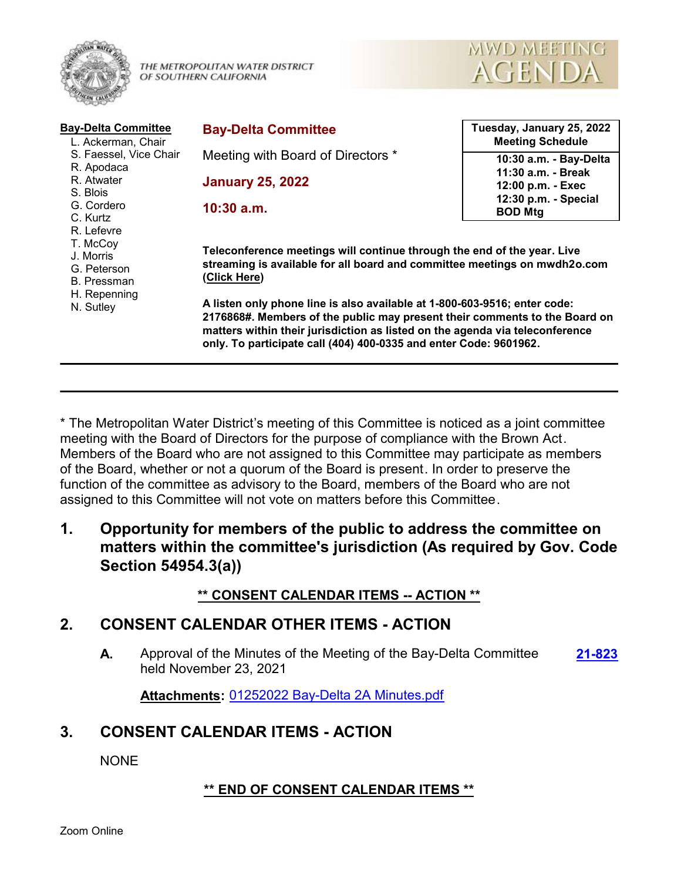

THE METROPOLITAN WATER DISTRICT OF SOUTHERN CALIFORNIA



| <b>Bay-Delta Committee</b><br>L. Ackerman, Chair                                               | <b>Bay-Delta Committee</b>                                                                                                                                                                                                                                                                                                                                                                                                                                                           | Tuesday, January 25, 2022<br><b>Meeting Schedule</b> |
|------------------------------------------------------------------------------------------------|--------------------------------------------------------------------------------------------------------------------------------------------------------------------------------------------------------------------------------------------------------------------------------------------------------------------------------------------------------------------------------------------------------------------------------------------------------------------------------------|------------------------------------------------------|
| S. Faessel, Vice Chair                                                                         | Meeting with Board of Directors *                                                                                                                                                                                                                                                                                                                                                                                                                                                    | 10:30 a.m. - Bay-Delta                               |
| R. Apodaca                                                                                     |                                                                                                                                                                                                                                                                                                                                                                                                                                                                                      | 11:30 a.m. - Break                                   |
| R. Atwater<br>S. Blois                                                                         | <b>January 25, 2022</b>                                                                                                                                                                                                                                                                                                                                                                                                                                                              | 12:00 p.m. - Exec                                    |
| G. Cordero                                                                                     |                                                                                                                                                                                                                                                                                                                                                                                                                                                                                      | 12:30 p.m. - Special                                 |
| C. Kurtz                                                                                       | $10:30$ a.m.                                                                                                                                                                                                                                                                                                                                                                                                                                                                         | <b>BOD Mtg</b>                                       |
| R. Lefevre<br>T. McCoy<br>J. Morris<br>G. Peterson<br>B. Pressman<br>H. Repenning<br>N. Sutley | Teleconference meetings will continue through the end of the year. Live<br>streaming is available for all board and committee meetings on mwdh2o.com<br>(Click Here)<br>A listen only phone line is also available at 1-800-603-9516; enter code:<br>2176868#. Members of the public may present their comments to the Board on<br>matters within their jurisdiction as listed on the agenda via teleconference<br>only. To participate call (404) 400-0335 and enter Code: 9601962. |                                                      |

\* The Metropolitan Water District's meeting of this Committee is noticed as a joint committee meeting with the Board of Directors for the purpose of compliance with the Brown Act. Members of the Board who are not assigned to this Committee may participate as members of the Board, whether or not a quorum of the Board is present. In order to preserve the function of the committee as advisory to the Board, members of the Board who are not assigned to this Committee will not vote on matters before this Committee.

**1. Opportunity for members of the public to address the committee on matters within the committee's jurisdiction (As required by Gov. Code Section 54954.3(a))**

### **\*\* CONSENT CALENDAR ITEMS -- ACTION \*\***

### **2. CONSENT CALENDAR OTHER ITEMS - ACTION**

**A.** Approval of the Minutes of the Meeting of the Bay-Delta Committee **[21-823](http://mwdh2o.legistar.com/gateway.aspx?m=l&id=/matter.aspx?key=1915)** held November 23, 2021

**Attachments:** [01252022 Bay-Delta 2A Minutes.pdf](http://mwdh2o.legistar.com/gateway.aspx?M=F&ID=459c4ed9-b3bf-45b7-8522-6cd6e52f3112.pdf)

## **3. CONSENT CALENDAR ITEMS - ACTION**

**NONE** 

### **\*\* END OF CONSENT CALENDAR ITEMS \*\***